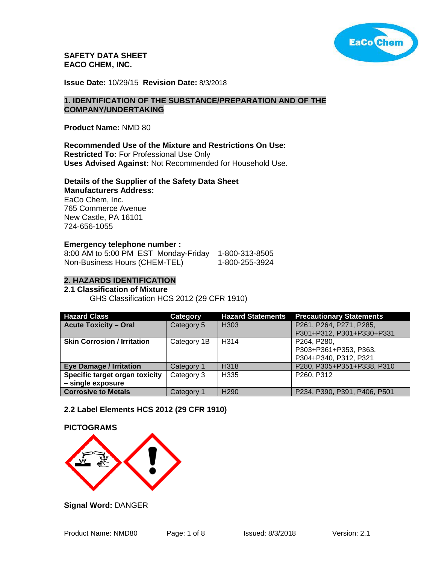

**SAFETY DATA SHEET EACO CHEM, INC.** 

**Issue Date:** 10/29/15 **Revision Date:** 8/3/2018

#### **1. IDENTIFICATION OF THE SUBSTANCE/PREPARATION AND OF THE COMPANY/UNDERTAKING**

**Product Name:** NMD 80

### **Recommended Use of the Mixture and Restrictions On Use:**

**Restricted To:** For Professional Use Only **Uses Advised Against:** Not Recommended for Household Use.

#### **Details of the Supplier of the Safety Data Sheet Manufacturers Address:**

EaCo Chem, Inc. 765 Commerce Avenue New Castle, PA 16101 724-656-1055

#### **Emergency telephone number :**

| 8:00 AM to 5:00 PM EST Monday-Friday | 1-800-313-8505 |
|--------------------------------------|----------------|
| Non-Business Hours (CHEM-TEL)        | 1-800-255-3924 |

#### **2. HAZARDS IDENTIFICATION**

#### **2.1 Classification of Mixture**

GHS Classification HCS 2012 (29 CFR 1910)

| <b>Hazard Class</b>                | Category    | <b>Hazard Statements</b> | <b>Precautionary Statements</b> |
|------------------------------------|-------------|--------------------------|---------------------------------|
| <b>Acute Toxicity - Oral</b>       | Category 5  | H303                     | P261, P264, P271, P285,         |
|                                    |             |                          | P301+P312, P301+P330+P331       |
| <b>Skin Corrosion / Irritation</b> | Category 1B | H <sub>3</sub> 14        | P264, P280,                     |
|                                    |             |                          | P303+P361+P353, P363,           |
|                                    |             |                          | P304+P340, P312, P321           |
| <b>Eye Damage / Irritation</b>     | Category 1  | H318                     | P280, P305+P351+P338, P310      |
| Specific target organ toxicity     | Category 3  | H <sub>335</sub>         | P260, P312                      |
| - single exposure                  |             |                          |                                 |
| <b>Corrosive to Metals</b>         | Category 1  | H <sub>290</sub>         | P234, P390, P391, P406, P501    |

### **2.2 Label Elements HCS 2012 (29 CFR 1910)**

# **PICTOGRAMS**



**Signal Word:** DANGER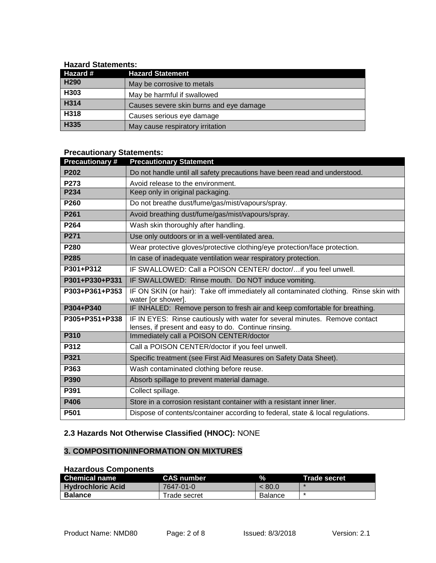### **Hazard Statements:**

| Hazard #         | <b>Hazard Statement</b>                 |
|------------------|-----------------------------------------|
| H <sub>290</sub> | May be corrosive to metals              |
| H303             | May be harmful if swallowed             |
| H314             | Causes severe skin burns and eye damage |
| H318             | Causes serious eye damage               |
| H335             | May cause respiratory irritation        |

# **Precautionary Statements:**

| <b>Precautionary#</b> | <b>Precautionary Statement</b>                                                                                                      |
|-----------------------|-------------------------------------------------------------------------------------------------------------------------------------|
| P202                  | Do not handle until all safety precautions have been read and understood.                                                           |
| P273                  | Avoid release to the environment.                                                                                                   |
| P234                  | Keep only in original packaging.                                                                                                    |
| P260                  | Do not breathe dust/fume/gas/mist/vapours/spray.                                                                                    |
| P261                  | Avoid breathing dust/fume/gas/mist/vapours/spray.                                                                                   |
| P264                  | Wash skin thoroughly after handling.                                                                                                |
| P271                  | Use only outdoors or in a well-ventilated area.                                                                                     |
| P280                  | Wear protective gloves/protective clothing/eye protection/face protection.                                                          |
| P285                  | In case of inadequate ventilation wear respiratory protection.                                                                      |
| P301+P312             | IF SWALLOWED: Call a POISON CENTER/doctor/if you feel unwell.                                                                       |
| P301+P330+P331        | IF SWALLOWED: Rinse mouth. Do NOT induce vomiting.                                                                                  |
| P303+P361+P353        | IF ON SKIN (or hair): Take off immediately all contaminated clothing. Rinse skin with<br>water [or shower].                         |
| P304+P340             | IF INHALED: Remove person to fresh air and keep comfortable for breathing.                                                          |
| P305+P351+P338        | IF IN EYES: Rinse cautiously with water for several minutes. Remove contact<br>lenses, if present and easy to do. Continue rinsing. |
| P310                  | Immediately call a POISON CENTER/doctor                                                                                             |
| P312                  | Call a POISON CENTER/doctor if you feel unwell.                                                                                     |
| P321                  | Specific treatment (see First Aid Measures on Safety Data Sheet).                                                                   |
| P363                  | Wash contaminated clothing before reuse.                                                                                            |
| P390                  | Absorb spillage to prevent material damage.                                                                                         |
| P391                  | Collect spillage.                                                                                                                   |
| P406                  | Store in a corrosion resistant container with a resistant inner liner.                                                              |
| P501                  | Dispose of contents/container according to federal, state & local regulations.                                                      |

# **2.3 Hazards Not Otherwise Classified (HNOC):** NONE

# **3. COMPOSITION/INFORMATION ON MIXTURES**

# **Hazardous Components**

| <b>Chemical name</b> | <b>CAS number</b> | $\%$           | Trade secret |
|----------------------|-------------------|----------------|--------------|
| l Hvdrochloric Acid  | 7647-01-0         | < 80.0         |              |
| <b>Balance</b>       | Trade secret      | <b>Balance</b> |              |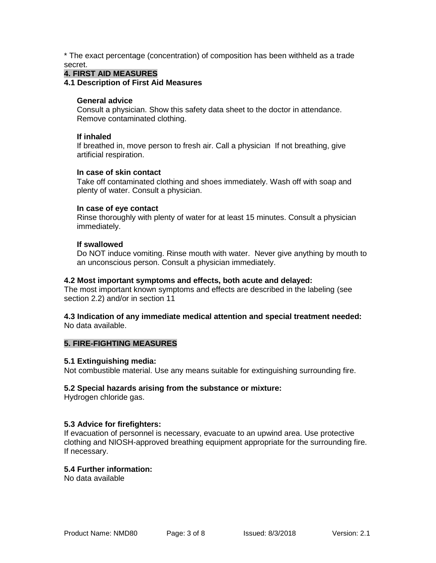\* The exact percentage (concentration) of composition has been withheld as a trade secret.

#### **4. FIRST AID MEASURES**

**4.1 Description of First Aid Measures**

#### **General advice**

Consult a physician. Show this safety data sheet to the doctor in attendance. Remove contaminated clothing.

#### **If inhaled**

If breathed in, move person to fresh air. Call a physician If not breathing, give artificial respiration.

#### **In case of skin contact**

Take off contaminated clothing and shoes immediately. Wash off with soap and plenty of water. Consult a physician.

#### **In case of eye contact**

Rinse thoroughly with plenty of water for at least 15 minutes. Consult a physician immediately.

#### **If swallowed**

Do NOT induce vomiting. Rinse mouth with water. Never give anything by mouth to an unconscious person. Consult a physician immediately.

#### **4.2 Most important symptoms and effects, both acute and delayed:**

The most important known symptoms and effects are described in the labeling (see section 2.2) and/or in section 11

#### **4.3 Indication of any immediate medical attention and special treatment needed:** No data available.

#### **5. FIRE-FIGHTING MEASURES**

#### **5.1 Extinguishing media:**

Not combustible material. Use any means suitable for extinguishing surrounding fire.

#### **5.2 Special hazards arising from the substance or mixture:**

Hydrogen chloride gas.

### **5.3 Advice for firefighters:**

If evacuation of personnel is necessary, evacuate to an upwind area. Use protective clothing and NIOSH-approved breathing equipment appropriate for the surrounding fire. If necessary.

### **5.4 Further information:**

No data available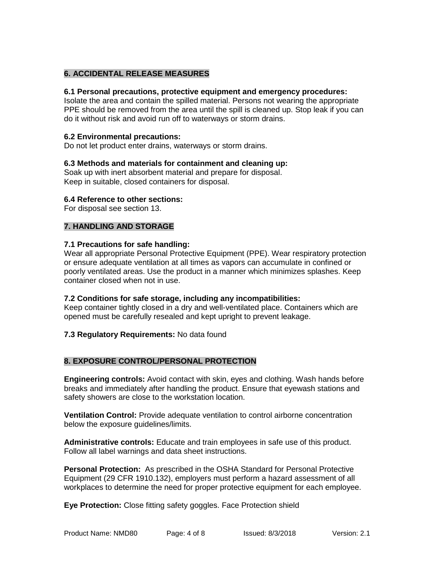# **6. ACCIDENTAL RELEASE MEASURES**

#### **6.1 Personal precautions, protective equipment and emergency procedures:**

Isolate the area and contain the spilled material. Persons not wearing the appropriate PPE should be removed from the area until the spill is cleaned up. Stop leak if you can do it without risk and avoid run off to waterways or storm drains.

#### **6.2 Environmental precautions:**

Do not let product enter drains, waterways or storm drains.

#### **6.3 Methods and materials for containment and cleaning up:**

Soak up with inert absorbent material and prepare for disposal. Keep in suitable, closed containers for disposal.

#### **6.4 Reference to other sections:**

For disposal see section 13.

### **7. HANDLING AND STORAGE**

#### **7.1 Precautions for safe handling:**

Wear all appropriate Personal Protective Equipment (PPE). Wear respiratory protection or ensure adequate ventilation at all times as vapors can accumulate in confined or poorly ventilated areas. Use the product in a manner which minimizes splashes. Keep container closed when not in use.

#### **7.2 Conditions for safe storage, including any incompatibilities:**

Keep container tightly closed in a dry and well-ventilated place. Containers which are opened must be carefully resealed and kept upright to prevent leakage.

### **7.3 Regulatory Requirements:** No data found

### **8. EXPOSURE CONTROL/PERSONAL PROTECTION**

**Engineering controls:** Avoid contact with skin, eyes and clothing. Wash hands before breaks and immediately after handling the product. Ensure that eyewash stations and safety showers are close to the workstation location.

**Ventilation Control:** Provide adequate ventilation to control airborne concentration below the exposure guidelines/limits.

**Administrative controls:** Educate and train employees in safe use of this product. Follow all label warnings and data sheet instructions.

**Personal Protection:** As prescribed in the OSHA Standard for Personal Protective Equipment (29 CFR 1910.132), employers must perform a hazard assessment of all workplaces to determine the need for proper protective equipment for each employee.

**Eye Protection:** Close fitting safety goggles. Face Protection shield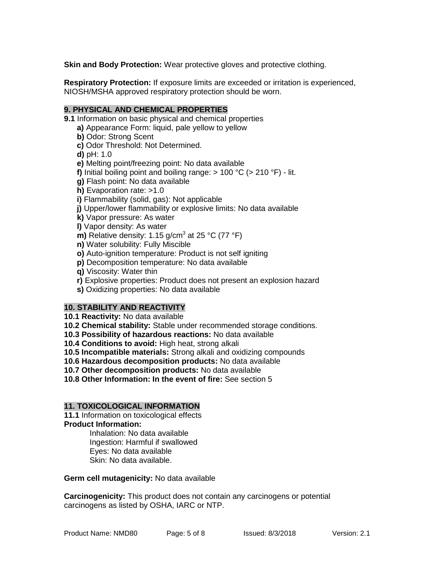**Skin and Body Protection:** Wear protective gloves and protective clothing.

**Respiratory Protection:** If exposure limits are exceeded or irritation is experienced, NIOSH/MSHA approved respiratory protection should be worn.

# **9. PHYSICAL AND CHEMICAL PROPERTIES**

**9.1** Information on basic physical and chemical properties

- **a)** Appearance Form: liquid, pale yellow to yellow
- **b)** Odor: Strong Scent
- **c)** Odor Threshold: Not Determined.
- **d)** pH: 1.0

**e)** Melting point/freezing point: No data available

**f)** Initial boiling point and boiling range: > 100 °C (> 210 °F) - lit.

**g)** Flash point: No data available

- **h)** Evaporation rate: >1.0
- **i)** Flammability (solid, gas): Not applicable
- **j)** Upper/lower flammability or explosive limits: No data available
- **k)** Vapor pressure: As water

**l)** Vapor density: As water

- **m)** Relative density: 1.15 g/cm<sup>3</sup> at 25 °C (77 °F)
- **n)** Water solubility: Fully Miscible
- **o)** Auto-ignition temperature: Product is not self igniting
- **p)** Decomposition temperature: No data available
- **q)** Viscosity: Water thin
- **r)** Explosive properties: Product does not present an explosion hazard
- **s)** Oxidizing properties: No data available

### **10. STABILITY AND REACTIVITY**

**10.1 Reactivity:** No data available

- **10.2 Chemical stability:** Stable under recommended storage conditions.
- **10.3 Possibility of hazardous reactions:** No data available
- **10.4 Conditions to avoid:** High heat, strong alkali
- **10.5 Incompatible materials:** Strong alkali and oxidizing compounds
- **10.6 Hazardous decomposition products:** No data available

**10.7 Other decomposition products:** No data available

**10.8 Other Information: In the event of fire:** See section 5

### **11. TOXICOLOGICAL INFORMATION**

**11.1** Information on toxicological effects **Product Information:**

Inhalation: No data available Ingestion: Harmful if swallowed Eyes: No data available Skin: No data available.

**Germ cell mutagenicity:** No data available

**Carcinogenicity:** This product does not contain any carcinogens or potential carcinogens as listed by OSHA, IARC or NTP.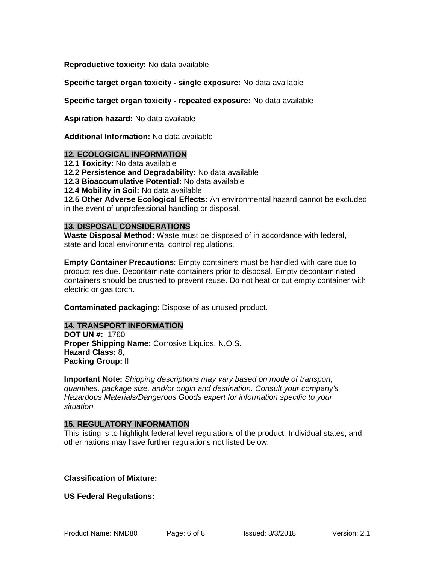**Reproductive toxicity:** No data available

**Specific target organ toxicity - single exposure:** No data available

**Specific target organ toxicity - repeated exposure:** No data available

**Aspiration hazard:** No data available

**Additional Information:** No data available

#### **12. ECOLOGICAL INFORMATION**

**12.1 Toxicity:** No data available

**12.2 Persistence and Degradability:** No data available

**12.3 Bioaccumulative Potential:** No data available

**12.4 Mobility in Soil:** No data available

**12.5 Other Adverse Ecological Effects:** An environmental hazard cannot be excluded in the event of unprofessional handling or disposal.

#### **13. DISPOSAL CONSIDERATIONS**

**Waste Disposal Method:** Waste must be disposed of in accordance with federal, state and local environmental control regulations.

**Empty Container Precautions**: Empty containers must be handled with care due to product residue. Decontaminate containers prior to disposal. Empty decontaminated containers should be crushed to prevent reuse. Do not heat or cut empty container with electric or gas torch.

**Contaminated packaging:** Dispose of as unused product.

### **14. TRANSPORT INFORMATION**

**DOT UN #:** 1760 **Proper Shipping Name:** Corrosive Liquids, N.O.S. **Hazard Class:** 8, **Packing Group:** II

**Important Note:** *Shipping descriptions may vary based on mode of transport, quantities, package size, and/or origin and destination. Consult your company's Hazardous Materials/Dangerous Goods expert for information specific to your situation.*

### **15. REGULATORY INFORMATION**

This listing is to highlight federal level regulations of the product. Individual states, and other nations may have further regulations not listed below.

**Classification of Mixture:**

**US Federal Regulations:**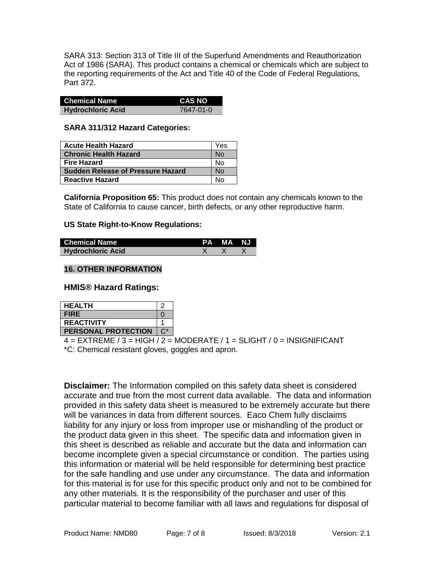SARA 313: Section 313 of Title III of the Superfund Amendments and Reauthorization Act of 1986 (SARA). This product contains a chemical or chemicals which are subject to the reporting requirements of the Act and Title 40 of the Code of Federal Regulations, Part 372.

| <b>Chemical Name</b>     | <b>CAS NO</b> |
|--------------------------|---------------|
| <b>Hydrochloric Acid</b> | 7647-01-0     |

#### **SARA 311/312 Hazard Categories:**

| <b>Acute Health Hazard</b>               | Yes |
|------------------------------------------|-----|
| <b>Chronic Health Hazard</b>             | Nο  |
| <b>Fire Hazard</b>                       | N٥  |
| <b>Sudden Release of Pressure Hazard</b> |     |
| <b>Reactive Hazard</b>                   |     |

**California Proposition 65:** This product does not contain any chemicals known to the State of California to cause cancer, birth defects, or any other reproductive harm.

### **US State Right-to-Know Regulations:**

| <b>Chemical Name</b>     | <b>PA MA NJ</b> |  |
|--------------------------|-----------------|--|
| <b>Hydrochloric Acid</b> |                 |  |

# **16. OTHER INFORMATION**

**HMIS® Hazard Ratings:**

| <b>HEALTH</b>              |  |
|----------------------------|--|
| <b>FIRE</b>                |  |
| <b>REACTIVITY</b>          |  |
| <b>PERSONAL PROTECTION</b> |  |

 $4 = EXTREME / 3 = HIGH / 2 = MODERATE / 1 = SLIGHT / 0 = INSIGNIFICANT$ \*C: Chemical resistant gloves, goggles and apron.

**Disclaimer:** The Information compiled on this safety data sheet is considered accurate and true from the most current data available. The data and information provided in this safety data sheet is measured to be extremely accurate but there will be variances in data from different sources. Eaco Chem fully disclaims liability for any injury or loss from improper use or mishandling of the product or the product data given in this sheet. The specific data and information given in this sheet is described as reliable and accurate but the data and information can become incomplete given a special circumstance or condition. The parties using this information or material will be held responsible for determining best practice for the safe handling and use under any circumstance. The data and information for this material is for use for this specific product only and not to be combined for any other materials. It is the responsibility of the purchaser and user of this particular material to become familiar with all laws and regulations for disposal of